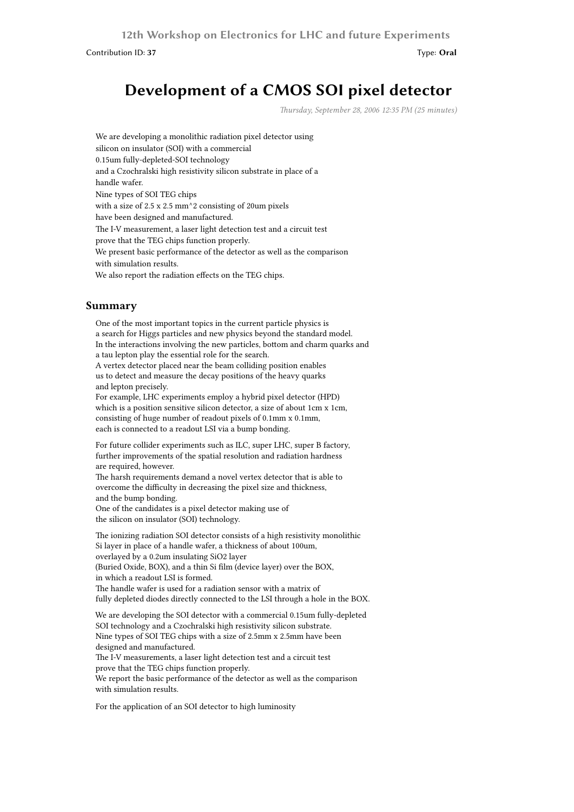**12th Workshop on Electronics for LHC and future Experiments**

Contribution ID: **37** Type: **Oral**

## **Development of a CMOS SOI pixel detector**

*Thursday, September 28, 2006 12:35 PM (25 minutes)*

We are developing a monolithic radiation pixel detector using silicon on insulator (SOI) with a commercial 0.15um fully-depleted-SOI technology and a Czochralski high resistivity silicon substrate in place of a handle wafer. Nine types of SOI TEG chips with a size of 2.5 x 2.5 mm^2 consisting of 20um pixels have been designed and manufactured. The I-V measurement, a laser light detection test and a circuit test prove that the TEG chips function properly. We present basic performance of the detector as well as the comparison with simulation results. We also report the radiation effects on the TEG chips.

## **Summary**

One of the most important topics in the current particle physics is a search for Higgs particles and new physics beyond the standard model. In the interactions involving the new particles, bottom and charm quarks and a tau lepton play the essential role for the search. A vertex detector placed near the beam colliding position enables us to detect and measure the decay positions of the heavy quarks and lepton precisely. For example, LHC experiments employ a hybrid pixel detector (HPD) which is a position sensitive silicon detector, a size of about 1cm x 1cm, consisting of huge number of readout pixels of 0.1mm x 0.1mm, each is connected to a readout LSI via a bump bonding.

For future collider experiments such as ILC, super LHC, super B factory, further improvements of the spatial resolution and radiation hardness are required, however.

The harsh requirements demand a novel vertex detector that is able to overcome the difficulty in decreasing the pixel size and thickness, and the bump bonding.

One of the candidates is a pixel detector making use of the silicon on insulator (SOI) technology.

The ionizing radiation SOI detector consists of a high resistivity monolithic Si layer in place of a handle wafer, a thickness of about 100um, overlayed by a 0.2um insulating SiO2 layer (Buried Oxide, BOX), and a thin Si film (device layer) over the BOX, in which a readout LSI is formed. The handle wafer is used for a radiation sensor with a matrix of fully depleted diodes directly connected to the LSI through a hole in the BOX.

We are developing the SOI detector with a commercial 0.15um fully-depleted SOI technology and a Czochralski high resistivity silicon substrate. Nine types of SOI TEG chips with a size of 2.5mm x 2.5mm have been designed and manufactured. The I-V measurements, a laser light detection test and a circuit test prove that the TEG chips function properly. We report the basic performance of the detector as well as the comparison

with simulation results.

For the application of an SOI detector to high luminosity